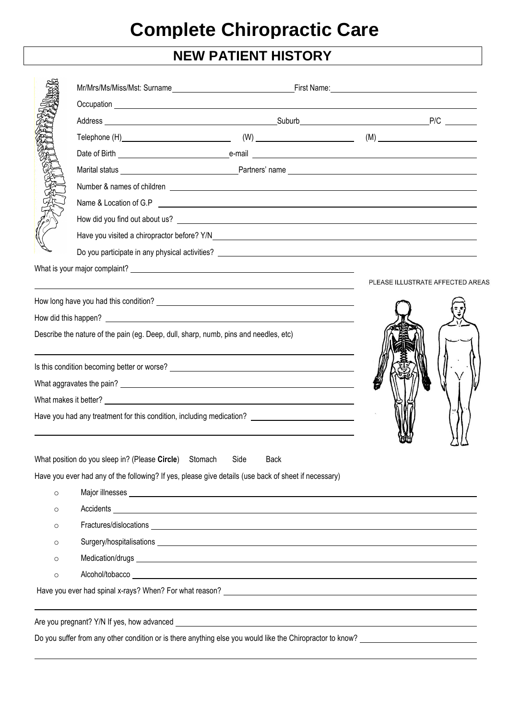## **NEW PATIENT HISTORY**

|         |                                                                                      | Do you participate in any physical activities? <u>example and the set of the set of the set of the set of the set of the set of the set of the set of the set of the set of the set of the set of the set of the set of the set </u> |  |                                  |  |  |  |  |
|---------|--------------------------------------------------------------------------------------|--------------------------------------------------------------------------------------------------------------------------------------------------------------------------------------------------------------------------------------|--|----------------------------------|--|--|--|--|
|         |                                                                                      |                                                                                                                                                                                                                                      |  |                                  |  |  |  |  |
|         |                                                                                      |                                                                                                                                                                                                                                      |  | PLEASE ILLUSTRATE AFFECTED AREAS |  |  |  |  |
|         |                                                                                      |                                                                                                                                                                                                                                      |  |                                  |  |  |  |  |
|         |                                                                                      |                                                                                                                                                                                                                                      |  |                                  |  |  |  |  |
|         | Describe the nature of the pain (eg. Deep, dull, sharp, numb, pins and needles, etc) |                                                                                                                                                                                                                                      |  |                                  |  |  |  |  |
|         |                                                                                      |                                                                                                                                                                                                                                      |  |                                  |  |  |  |  |
|         |                                                                                      |                                                                                                                                                                                                                                      |  |                                  |  |  |  |  |
|         |                                                                                      |                                                                                                                                                                                                                                      |  |                                  |  |  |  |  |
|         |                                                                                      | Have you had any treatment for this condition, including medication? ______________________________                                                                                                                                  |  |                                  |  |  |  |  |
|         |                                                                                      |                                                                                                                                                                                                                                      |  |                                  |  |  |  |  |
|         | What position do you sleep in? (Please Circle) Stomach                               | Side<br>Back                                                                                                                                                                                                                         |  |                                  |  |  |  |  |
|         |                                                                                      | Have you ever had any of the following? If yes, please give details (use back of sheet if necessary)                                                                                                                                 |  |                                  |  |  |  |  |
| $\circ$ |                                                                                      |                                                                                                                                                                                                                                      |  |                                  |  |  |  |  |
| $\circ$ |                                                                                      |                                                                                                                                                                                                                                      |  |                                  |  |  |  |  |
| $\circ$ |                                                                                      |                                                                                                                                                                                                                                      |  |                                  |  |  |  |  |
| $\circ$ |                                                                                      |                                                                                                                                                                                                                                      |  |                                  |  |  |  |  |
| $\circ$ |                                                                                      |                                                                                                                                                                                                                                      |  |                                  |  |  |  |  |
| $\circ$ |                                                                                      |                                                                                                                                                                                                                                      |  |                                  |  |  |  |  |
|         |                                                                                      | Have you ever had spinal x-rays? When? For what reason? <u>example and a series are alleged</u> as the series of the series of the series of the series of the series of the series of the series of the series of the series of th  |  |                                  |  |  |  |  |
|         | Are you pregnant? Y/N If yes, how advanced                                           |                                                                                                                                                                                                                                      |  |                                  |  |  |  |  |

Do you suffer from any other condition or is there anything else you would like the Chiropractor to know?